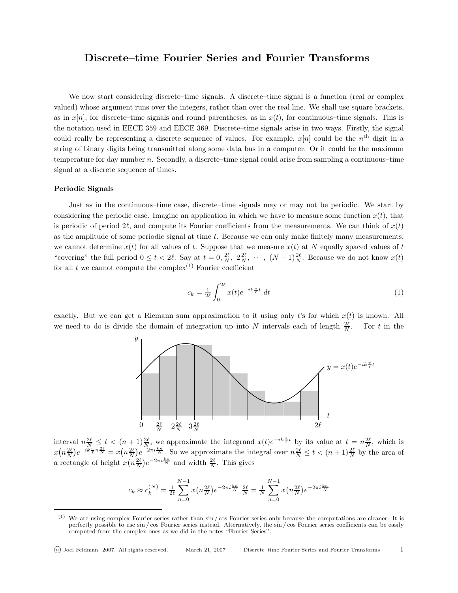## Discrete–time Fourier Series and Fourier Transforms

We now start considering discrete–time signals. A discrete–time signal is a function (real or complex valued) whose argument runs over the integers, rather than over the real line. We shall use square brackets, as in  $x[n]$ , for discrete–time signals and round parentheses, as in  $x(t)$ , for continuous–time signals. This is the notation used in EECE 359 and EECE 369. Discrete–time signals arise in two ways. Firstly, the signal could really be representing a discrete sequence of values. For example,  $x[n]$  could be the  $n<sup>th</sup>$  digit in a string of binary digits being transmitted along some data bus in a computer. Or it could be the maximum temperature for day number  $n$ . Secondly, a discrete–time signal could arise from sampling a continuous–time signal at a discrete sequence of times.

## Periodic Signals

Just as in the continuous–time case, discrete–time signals may or may not be periodic. We start by considering the periodic case. Imagine an application in which we have to measure some function  $x(t)$ , that is periodic of period 2 $\ell$ , and compute its Fourier coefficients from the measurements. We can think of  $x(t)$ as the amplitude of some periodic signal at time t. Because we can only make finitely many measurements, we cannot determine  $x(t)$  for all values of t. Suppose that we measure  $x(t)$  at N equally spaced values of t "covering" the full period  $0 \le t < 2\ell$ . Say at  $t = 0, \frac{2\ell}{N}, 2\frac{2\ell}{N}, \cdots, (N-1)\frac{2\ell}{N}$ . Because we do not know  $x(t)$ for all t we cannot compute the complex<sup>(1)</sup> Fourier coefficient

$$
c_k = \frac{1}{2\ell} \int_0^{2\ell} x(t)e^{-ik\frac{\pi}{\ell}t} dt
$$
\n(1)

exactly. But we can get a Riemann sum approximation to it using only t's for which  $x(t)$  is known. All we need to do is divide the domain of integration up into N intervals each of length  $\frac{2\ell}{N}$ For t in the



interval  $n \frac{2\ell}{N} \leq t < (n+1)\frac{2\ell}{N}$ , we approximate the integrand  $x(t)e^{-ik\frac{\pi}{\ell}t}$  by its value at  $t = n\frac{2\ell}{N}$ , which is  $x(n\frac{2\ell}{N})e^{-ik\frac{\pi}{l}n\frac{2\ell}{N}} = x(n\frac{2\ell}{N})e^{-2\pi i\frac{kn}{N}}$ . So we approximate the integral over  $n\frac{2\ell}{N} \le t < (n+1)\frac{2\ell}{N}$  by the area of a rectangle of height  $x(n\frac{2\ell}{N})e^{-2\pi i \frac{k n}{N}}$  and width  $\frac{2\ell}{N}$ . This gives

$$
c_k \approx c_k^{(N)} = \frac{1}{2\ell} \sum_{n=0}^{N-1} x(n\frac{2\ell}{N}) e^{-2\pi i \frac{k n}{N}} \frac{2\ell}{N} = \frac{1}{N} \sum_{n=0}^{N-1} x(n\frac{2\ell}{N}) e^{-2\pi i \frac{k n}{N}}
$$

 $(1)$  We are using complex Fourier series rather than  $\sin / \cos$  Fourier series only because the computations are cleaner. It is perfectly possible to use sin / cos Fourier series instead. Alternatively, the sin / cos Fourier series coefficients can be easily computed from the complex ones as we did in the notes "Fourier Series".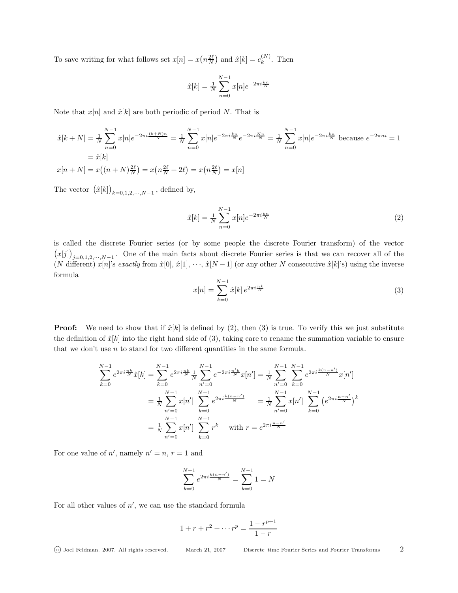To save writing for what follows set  $x[n] = x\left(n\frac{2\ell}{N}\right)$  and  $\hat{x}[k] = c_k^{(N)}$  $k^{(N)}$ . Then

$$
\hat{x}[k] = \frac{1}{N} \sum_{n=0}^{N-1} x[n] e^{-2\pi i \frac{k n}{N}}
$$

Note that  $x[n]$  and  $\hat{x}[k]$  are both periodic of period N. That is

$$
\hat{x}[k+N] = \frac{1}{N} \sum_{n=0}^{N-1} x[n]e^{-2\pi i \frac{(k+N)n}{N}} = \frac{1}{N} \sum_{n=0}^{N-1} x[n]e^{-2\pi i \frac{kn}{N}}e^{-2\pi i \frac{Nn}{N}} = \frac{1}{N} \sum_{n=0}^{N-1} x[n]e^{-2\pi i \frac{kn}{N}} \text{ because } e^{-2\pi n i} = 1
$$

$$
= \hat{x}[k]
$$

$$
x[n+N] = x\big((n+N)\frac{2\ell}{N}\big) = x\big(n\frac{2\ell}{N} + 2\ell\big) = x\big(n\frac{2\ell}{N}\big) = x[n]
$$

The vector  $(\hat{x}[k])_{k=0,1,2,\cdots,N-1}$ , defined by,

$$
\hat{x}[k] = \frac{1}{N} \sum_{n=0}^{N-1} x[n] e^{-2\pi i \frac{k n}{N}}
$$
\n(2)

is called the discrete Fourier series (or by some people the discrete Fourier transform) of the vector  $(x[j])_{j=0,1,2,\cdots,N-1}$ . One of the main facts about discrete Fourier series is that we can recover all of the (N different)  $x[n]$ 's exactly from  $\hat{x}[0], \hat{x}[1], \dots, \hat{x}[N-1]$  (or any other N consecutive  $\hat{x}[k]$ 's) using the inverse formula

$$
x[n] = \sum_{k=0}^{N-1} \hat{x}[k] e^{2\pi i \frac{nk}{N}}
$$
\n(3)

**Proof:** We need to show that if  $\hat{x}[k]$  is defined by (2), then (3) is true. To verify this we just substitute the definition of  $\hat{x}[k]$  into the right hand side of (3), taking care to rename the summation variable to ensure that we don't use  $n$  to stand for two different quantities in the same formula.

$$
\sum_{k=0}^{N-1} e^{2\pi i \frac{nk}{N}} \hat{x}[k] = \sum_{k=0}^{N-1} e^{2\pi i \frac{nk}{N}} \frac{1}{N} \sum_{n'=0}^{N-1} e^{-2\pi i \frac{n'k}{N}} x[n'] = \frac{1}{N} \sum_{n'=0}^{N-1} \sum_{k=0}^{N-1} e^{2\pi i \frac{k(n-n')}{N}} x[n']
$$
  

$$
= \frac{1}{N} \sum_{n'=0}^{N-1} x[n'] \sum_{k=0}^{N-1} e^{2\pi i \frac{k(n-n')}{N}} = \frac{1}{N} \sum_{n'=0}^{N-1} x[n'] \sum_{k=0}^{N-1} (e^{2\pi i \frac{n-n'}{N}})^k
$$
  

$$
= \frac{1}{N} \sum_{n'=0}^{N-1} x[n'] \sum_{k=0}^{N-1} r^k \quad \text{with } r = e^{2\pi i \frac{n-n'}{N}}
$$

For one value of  $n'$ , namely  $n' = n$ ,  $r = 1$  and

$$
\sum_{k=0}^{N-1} e^{2\pi i \frac{k(n-n')}{N}} = \sum_{k=0}^{N-1} 1 = N
$$

For all other values of  $n'$ , we can use the standard formula

$$
1 + r + r2 + \dots rp = \frac{1 - r^{p+1}}{1 - r}
$$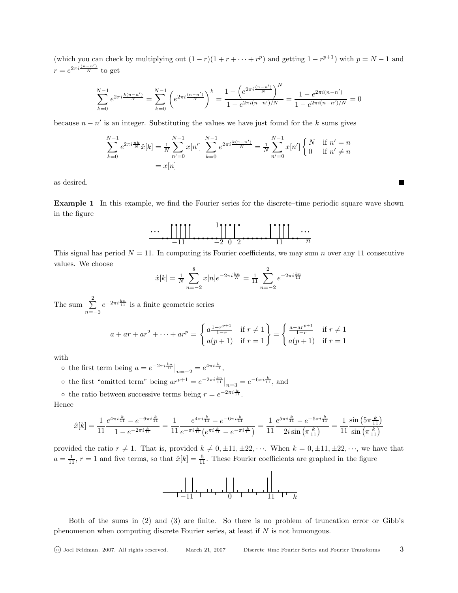(which you can check by multiplying out  $(1 - r)(1 + r + \cdots + r^p)$  and getting  $1 - r^{p+1}$ ) with  $p = N - 1$  and  $r = e^{2\pi i \frac{(n-n')}{N}}$  to get

$$
\sum_{k=0}^{N-1} e^{2\pi i \frac{k(n-n')}{N}} = \sum_{k=0}^{N-1} \left( e^{2\pi i \frac{(n-n')}{N}} \right)^k = \frac{1 - \left( e^{2\pi i \frac{(n-n')}{N}} \right)^N}{1 - e^{2\pi i (n-n')/N}} = \frac{1 - e^{2\pi i (n-n')}}{1 - e^{2\pi i (n-n')/N}} = 0
$$

because  $n - n'$  is an integer. Substituting the values we have just found for the k sums gives

$$
\sum_{k=0}^{N-1} e^{2\pi i \frac{nk}{N}} \hat{x}[k] = \frac{1}{N} \sum_{n'=0}^{N-1} x[n'] \sum_{k=0}^{N-1} e^{2\pi i \frac{k(n-n')}{N}} = \frac{1}{N} \sum_{n'=0}^{N-1} x[n'] \begin{cases} N & \text{if } n'=n\\ 0 & \text{if } n' \neq n \end{cases}
$$

$$
= x[n]
$$

as desired.

Example 1 In this example, we find the Fourier series for the discrete–time periodic square wave shown in the figure

$$
\begin{array}{c}\n\cdots \\
\hline\n\end{array}\n\begin{array}{c}\n\begin{array}{c}\n1 \\
\hline\n-11\n\end{array}\n\end{array}\n\begin{array}{c}\n\begin{array}{c}\n1 \\
\hline\n-2\n\end{array}\n\end{array}\n\begin{array}{c}\n\begin{array}{c}\n\begin{array}{c}\n1 \\
\hline\n1\n\end{array}\n\end{array}\n\end{array}\n\begin{array}{c}\n\cdots \\
\hline\n\end{array}\n\end{array}
$$

This signal has period  $N = 11$ . In computing its Fourier coefficients, we may sum n over any 11 consecutive values. We choose

$$
\hat{x}[k] = \frac{1}{N} \sum_{n=-2}^{8} x[n]e^{-2\pi i \frac{k n}{N}} = \frac{1}{11} \sum_{n=-2}^{2} e^{-2\pi i \frac{k n}{11}}
$$

The sum  $\sum_{ }^{2}$  $\sum_{n=-2}^{\infty} e^{-2\pi i \frac{k_n}{11}}$  is a finite geometric series

$$
a + ar + ar^{2} + \dots + ar^{p} = \begin{cases} a \frac{1 - r^{p+1}}{1 - r} & \text{if } r \neq 1 \\ a(p+1) & \text{if } r = 1 \end{cases} = \begin{cases} \frac{a - ar^{p+1}}{1 - r} & \text{if } r \neq 1 \\ a(p+1) & \text{if } r = 1 \end{cases}
$$

with

o the first term being  $a = e^{-2\pi i \frac{k n}{11}} \big|_{n=-2} = e^{4\pi i \frac{k}{11}}$ ,

o the first "omitted term" being 
$$
ar^{p+1} = e^{-2\pi i \frac{k n}{11}}|_{n=3} = e^{-6\pi i \frac{k}{11}}
$$
, and

• the ratio between successive terms being  $r = e^{-2\pi i \frac{k}{11}}$ .

Hence

$$
\hat{x}[k] = \frac{1}{11} \frac{e^{4\pi i \frac{k}{11}} - e^{-6\pi i \frac{k}{11}}}{1 - e^{-2\pi i \frac{k}{11}}} = \frac{1}{11} \frac{e^{4\pi i \frac{k}{11}} - e^{-6\pi i \frac{k}{11}}}{e^{-\pi i \frac{k}{11}} \left(e^{\pi i \frac{k}{11}} - e^{-\pi i \frac{k}{11}}\right)} = \frac{1}{11} \frac{e^{5\pi i \frac{k}{11}} - e^{-5\pi i \frac{k}{11}}}{2i \sin\left(\pi \frac{k}{11}\right)} = \frac{1}{11} \frac{\sin\left(5\pi \frac{k}{11}\right)}{\sin\left(\pi \frac{k}{11}\right)}
$$

provided the ratio  $r \neq 1$ . That is, provided  $k \neq 0, \pm 11, \pm 22, \cdots$ . When  $k = 0, \pm 11, \pm 22, \cdots$ , we have that  $a = \frac{1}{11}$ ,  $r = 1$  and five terms, so that  $\hat{x}[k] = \frac{5}{11}$ . These Fourier coefficients are graphed in the figure



Both of the sums in (2) and (3) are finite. So there is no problem of truncation error or Gibb's phenomenon when computing discrete Fourier series, at least if N is not humongous.

**The Second Service**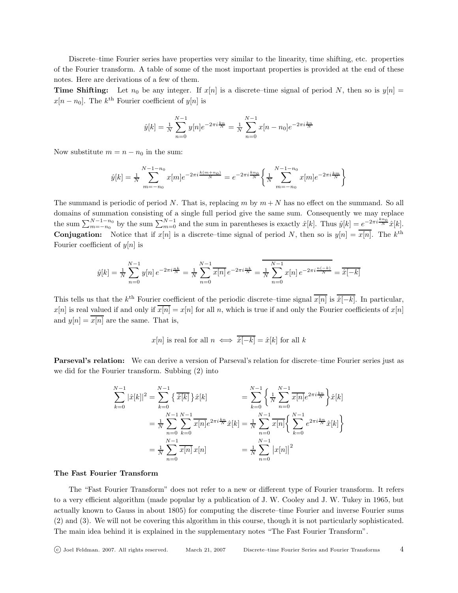Discrete–time Fourier series have properties very similar to the linearity, time shifting, etc. properties of the Fourier transform. A table of some of the most important properties is provided at the end of these notes. Here are derivations of a few of them.

**Time Shifting:** Let  $n_0$  be any integer. If  $x[n]$  is a discrete–time signal of period N, then so is  $y[n] =$  $x[n - n_0]$ . The  $k^{\text{th}}$  Fourier coefficient of  $y[n]$  is

$$
\hat{y}[k] = \frac{1}{N} \sum_{n=0}^{N-1} y[n]e^{-2\pi i \frac{k n}{N}} = \frac{1}{N} \sum_{n=0}^{N-1} x[n - n_0]e^{-2\pi i \frac{k n}{N}}
$$

Now substitute  $m = n - n_0$  in the sum:

$$
\hat{y}[k] = \frac{1}{N} \sum_{m=-n_0}^{N-1-n_0} x[m] e^{-2\pi i \frac{k(m+n_0)}{N}} = e^{-2\pi i \frac{k n_0}{N}} \left\{ \frac{1}{N} \sum_{m=-n_0}^{N-1-n_0} x[m] e^{-2\pi i \frac{k m}{N}} \right\}
$$

The summand is periodic of period N. That is, replacing m by  $m + N$  has no effect on the summand. So all domains of summation consisting of a single full period give the same sum. Consequently we may replace the sum  $\sum_{m=-n_0}^{N-1-n_0}$  by the sum  $\sum_{m=0}^{N-1}$  and the sum in parentheses is exactly  $\hat{x}[k]$ . Thus  $\hat{y}[k] = e^{-2\pi i \frac{k n_0}{N}} \hat{x}[k]$ . **Conjugation:** Notice that if  $x[n]$  is a discrete–time signal of period N, then so is  $y[n] = \overline{x[n]}$ . The  $k^{\text{th}}$ Fourier coefficient of  $y[n]$  is

$$
\hat{y}[k] = \frac{1}{N} \sum_{n=0}^{N-1} y[n] e^{-2\pi i \frac{nk}{N}} = \frac{1}{N} \sum_{n=0}^{N-1} \overline{x[n]} e^{-2\pi i \frac{nk}{N}} = \overline{\frac{1}{N} \sum_{n=0}^{N-1} x[n] e^{-2\pi i \frac{n(-k)}{N}}} = \overline{\hat{x}[-k]}
$$

This tells us that the k<sup>th</sup> Fourier coefficient of the periodic discrete–time signal  $\overline{x[n]}$  is  $\overline{\hat{x}[-k]}$ . In particular,  $x[n]$  is real valued if and only if  $\overline{x[n]} = x[n]$  for all n, which is true if and only the Fourier coefficients of  $x[n]$ and  $y[n] = x[n]$  are the same. That is,

$$
x[n]
$$
 is real for all  $n \iff \overline{\hat{x}[-k]} = \hat{x}[k]$  for all k

Parseval's relation: We can derive a version of Parseval's relation for discrete–time Fourier series just as we did for the Fourier transform. Subbing (2) into

$$
\sum_{k=0}^{N-1} |\hat{x}[k]|^2 = \sum_{k=0}^{N-1} {\{\overline{\hat{x}[k] \}} \hat{x}[k]} = \sum_{k=0}^{N-1} {\{\frac{1}{N} \sum_{n=0}^{N-1} \overline{x[n]} e^{2\pi i \frac{k n}{N}} \} \hat{x}[k]}
$$
  

$$
= \frac{1}{N} \sum_{n=0}^{N-1} \sum_{k=0}^{N-1} \overline{x[n]} e^{2\pi i \frac{k n}{N}} \hat{x}[k] = \frac{1}{N} \sum_{n=0}^{N-1} \overline{x[n]} {\{\sum_{k=0}^{N-1} e^{2\pi i \frac{k n}{N}} \hat{x}[k] \}}
$$
  

$$
= \frac{1}{N} \sum_{n=0}^{N-1} \overline{x[n]} x[n] = \frac{1}{N} \sum_{n=0}^{N-1} |x[n]|^2
$$

## The Fast Fourier Transform

The "Fast Fourier Transform" does not refer to a new or different type of Fourier transform. It refers to a very efficient algorithm (made popular by a publication of J. W. Cooley and J. W. Tukey in 1965, but actually known to Gauss in about 1805) for computing the discrete–time Fourier and inverse Fourier sums (2) and (3). We will not be covering this algorithm in this course, though it is not particularly sophisticated. The main idea behind it is explained in the supplementary notes "The Fast Fourier Transform".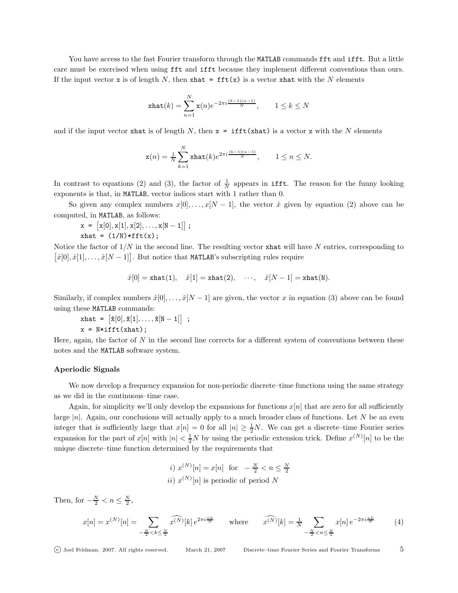You have access to the fast Fourier transform through the MATLAB commands fft and ifft. But a little care must be exercised when using fft and ifft because they implement different conventions than ours. If the input vector x is of length N, then xhat =  $\texttt{fft}(x)$  is a vector xhat with the N elements

$$
\operatorname{xhat}(k) = \sum_{n=1}^{N} \mathbf{x}(n) e^{-2\pi i \frac{(k-1)(n-1)}{N}}, \qquad 1 \le k \le N
$$

and if the input vector xhat is of length N, then  $x = \text{ifft(xhat)}$  is a vector x with the N elements

$$
\mathbf{x}(n) = \frac{1}{N} \sum_{k=1}^{N} \operatorname{xhat}(k) e^{2\pi i \frac{(k-1)(n-1)}{N}}, \qquad 1 \le n \le N.
$$

In contrast to equations (2) and (3), the factor of  $\frac{1}{N}$  appears in **ifft.** The reason for the funny looking exponents is that, in MATLAB, vector indices start with 1 rather than 0.

So given any complex numbers  $x[0], \ldots, x[N-1]$ , the vector  $\hat{x}$  given by equation (2) above can be computed, in MATLAB, as follows:

$$
x = [x[0], x[1], x[2], \ldots, x[N-1]] ;
$$
  
that = (1/N)\*fft(x);

Notice the factor of  $1/N$  in the second line. The resulting vector xhat will have N entries, corresponding to  $[\hat{x}[0], \hat{x}[1], \ldots, \hat{x}[N-1]]$ . But notice that MATLAB's subscripting rules require

$$
\hat{x}[0] = \texttt{xhat}(1), \quad \hat{x}[1] = \texttt{xhat}(2), \quad \cdots, \quad \hat{x}[N-1] = \texttt{xhat}(\mathbf{N}).
$$

Similarly, if complex numbers  $\hat{x}[0], \ldots, \hat{x}[N-1]$  are given, the vector x in equation (3) above can be found using these MATLAB commands:

$$
\begin{aligned}\n\texttt{xhat} &= \left[ \hat{\mathbf{x}}[0], \hat{\mathbf{x}}[1], \dots, \hat{\mathbf{x}}[N-1] \right] \; ; \\
\mathbf{x} &= N*if\, \texttt{f} \, \texttt{f} \, (\texttt{xhat}) : \n\end{aligned}
$$

$$
\begin{array}{c}\n\text{A} & \text{N-III}\n\end{array}
$$

Here, again, the factor of  $N$  in the second line corrects for a different system of conventions between these notes and the MATLAB software system.

## Aperiodic Signals

We now develop a frequency expansion for non-periodic discrete–time functions using the same strategy as we did in the continuous–time case.

Again, for simplicity we'll only develop the expansions for functions  $x[n]$  that are zero for all sufficiently large  $|n|$ . Again, our conclusions will actually apply to a much broader class of functions. Let N be an even integer that is sufficiently large that  $x[n] = 0$  for all  $|n| \geq \frac{1}{2}N$ . We can get a discrete–time Fourier series expansion for the part of  $x[n]$  with  $|n| < \frac{1}{2}N$  by using the periodic extension trick. Define  $x^{(N)}[n]$  to be the unique discrete–time function determined by the requirements that

*i)* 
$$
x^{(N)}[n] = x[n]
$$
 for  $-\frac{N}{2} < n \le \frac{N}{2}$   
*ii)*  $x^{(N)}[n]$  is periodic of period N

Then, for  $-\frac{N}{2} < n \le \frac{N}{2}$ ,

$$
x[n] = x^{(N)}[n] = \sum_{-\frac{N}{2} < k \le \frac{N}{2}} \widehat{x^{(N)}}[k] \, e^{2\pi i \frac{nk}{N}} \qquad \text{where} \qquad \widehat{x^{(N)}}[k] = \frac{1}{N} \sum_{-\frac{N}{2} < n \le \frac{N}{2}} x[n] \, e^{-2\pi i \frac{nk}{N}} \tag{4}
$$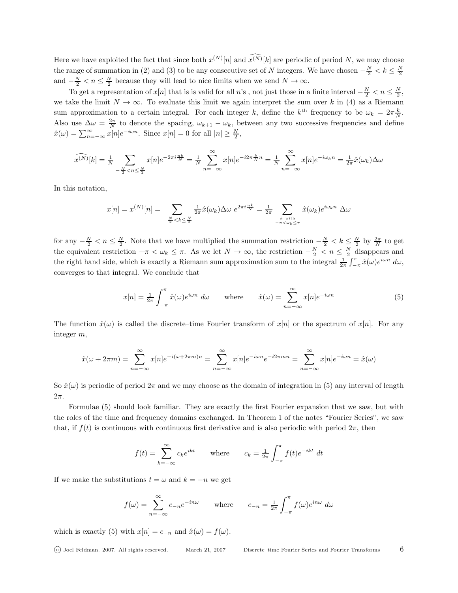Here we have exploited the fact that since both  $x^{(N)}[n]$  and  $x^{(N)}[k]$  are periodic of period N, we may choose the range of summation in (2) and (3) to be any consecutive set of N integers. We have chosen  $-\frac{N}{2} < k \leq \frac{N}{2}$ and  $-\frac{N}{2} < n \leq \frac{N}{2}$  because they will lead to nice limits when we send  $N \to \infty$ .

To get a representation of  $x[n]$  that is is valid for all n's, not just those in a finite interval  $-\frac{N}{2} < n \le \frac{N}{2}$ , we take the limit  $N \to \infty$ . To evaluate this limit we again interpret the sum over k in (4) as a Riemann sum approximation to a certain integral. For each integer k, define the  $k^{\text{th}}$  frequency to be  $\omega_k = 2\pi \frac{k}{N}$ . Also use  $\Delta\omega = \frac{2\pi}{N}$  to denote the spacing,  $\omega_{k+1} - \omega_k$ , between any two successive frequencies and define  $\hat{x}(\omega) = \sum_{n=-\infty}^{\infty} x[n]e^{-i\omega n}$ . Since  $x[n] = 0$  for all  $|n| \ge \frac{N}{2}$ ,

$$
\widehat{x^{(N)}}[k] = \frac{1}{N} \sum_{-\frac{N}{2} < n \le \frac{N}{2}} x[n]e^{-2\pi i \frac{nk}{N}} = \frac{1}{N} \sum_{n=-\infty}^{\infty} x[n]e^{-i2\pi \frac{k}{N}n} = \frac{1}{N} \sum_{n=-\infty}^{\infty} x[n]e^{-i\omega_k n} = \frac{1}{2\pi} \hat{x}(\omega_k) \Delta \omega
$$

In this notation,

$$
x[n] = x^{(N)}[n] = \sum_{-\frac{N}{2} < k \leq \frac{N}{2}} \frac{1}{2\pi} \hat{x}(\omega_k) \Delta \omega \ e^{2\pi i \frac{nk}{N}} = \frac{1}{2\pi} \sum_{\substack{k \text{ with } \\ -\pi < \omega_k \leq \pi}} \hat{x}(\omega_k) e^{i\omega_k n} \ \Delta \omega
$$

for any  $-\frac{N}{2} < n \le \frac{N}{2}$ . Note that we have multiplied the summation restriction  $-\frac{N}{2} < k \le \frac{N}{2}$  by  $\frac{2\pi}{N}$  to get the equivalent restriction  $-\pi < \omega_k \leq \pi$ . As we let  $N \to \infty$ , the restriction  $-\frac{N}{2} < n \leq \frac{N}{2}$  disappears and the right hand side, which is exactly a Riemann sum approximation sum to the integral  $\frac{1}{2\pi} \int_{-\pi}^{\pi} \hat{x}(\omega) e^{i\omega n} d\omega$ , converges to that integral. We conclude that

$$
x[n] = \frac{1}{2\pi} \int_{-\pi}^{\pi} \hat{x}(\omega) e^{i\omega n} d\omega \quad \text{where} \quad \hat{x}(\omega) = \sum_{n=-\infty}^{\infty} x[n] e^{-i\omega n} \tag{5}
$$

The function  $\hat{x}(\omega)$  is called the discrete–time Fourier transform of  $x[n]$  or the spectrum of  $x[n]$ . For any integer m,

$$
\hat{x}(\omega + 2\pi m) = \sum_{n=-\infty}^{\infty} x[n]e^{-i(\omega + 2\pi m)n} = \sum_{n=-\infty}^{\infty} x[n]e^{-i\omega n}e^{-i2\pi mn} = \sum_{n=-\infty}^{\infty} x[n]e^{-i\omega n} = \hat{x}(\omega)
$$

So  $\hat{x}(\omega)$  is periodic of period  $2\pi$  and we may choose as the domain of integration in (5) any interval of length  $2\pi$ .

Formulae (5) should look familiar. They are exactly the first Fourier expansion that we saw, but with the roles of the time and frequency domains exchanged. In Theorem 1 of the notes "Fourier Series", we saw that, if  $f(t)$  is continuous with continuous first derivative and is also periodic with period  $2\pi$ , then

$$
f(t) = \sum_{k=-\infty}^{\infty} c_k e^{ikt} \quad \text{where} \quad c_k = \frac{1}{2\pi} \int_{-\pi}^{\pi} f(t) e^{-ikt} dt
$$

If we make the substitutions  $t = \omega$  and  $k = -n$  we get

$$
f(\omega) = \sum_{n=-\infty}^{\infty} c_{-n} e^{-in\omega} \quad \text{where} \quad c_{-n} = \frac{1}{2\pi} \int_{-\pi}^{\pi} f(\omega) e^{in\omega} d\omega
$$

which is exactly (5) with  $x[n] = c_{-n}$  and  $\hat{x}(\omega) = f(\omega)$ .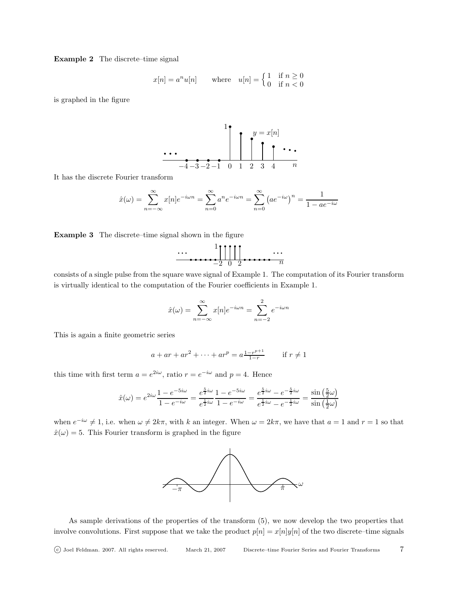Example 2 The discrete–time signal

$$
x[n] = a^n u[n]
$$
 where  $u[n] = \begin{cases} 1 & \text{if } n \ge 0 \\ 0 & \text{if } n < 0 \end{cases}$ 

is graphed in the figure

1 −4 −3 −2 −1 0 1 2 3 4 y = x[n] n

It has the discrete Fourier transform

$$
\hat{x}(\omega) = \sum_{n=-\infty}^{\infty} x[n]e^{-i\omega n} = \sum_{n=0}^{\infty} a^n e^{-i\omega n} = \sum_{n=0}^{\infty} (ae^{-i\omega})^n = \frac{1}{1 - ae^{-i\omega}}
$$

Example 3 The discrete–time signal shown in the figure

$$
\cdots \underbrace{\prod_{i=2}^{n} \prod_{i=1}^{n} \prod_{j=1}^{n} \cdots}_{n}
$$

consists of a single pulse from the square wave signal of Example 1. The computation of its Fourier transform is virtually identical to the computation of the Fourier coefficients in Example 1.

$$
\hat{x}(\omega) = \sum_{n=-\infty}^{\infty} x[n]e^{-i\omega n} = \sum_{n=-2}^{2} e^{-i\omega n}
$$

This is again a finite geometric series

$$
a + ar + ar2 + \dots + arp = a \frac{1 - r^{p+1}}{1 - r}
$$
 if  $r \neq 1$ 

this time with first term  $a = e^{2i\omega}$ , ratio  $r = e^{-i\omega}$  and  $p = 4$ . Hence

$$
\hat{x}(\omega) = e^{2i\omega} \frac{1 - e^{-5i\omega}}{1 - e^{-i\omega}} = \frac{e^{\frac{5}{2}i\omega}}{e^{\frac{1}{2}i\omega}} \frac{1 - e^{-5i\omega}}{1 - e^{-i\omega}} = \frac{e^{\frac{5}{2}i\omega} - e^{-\frac{5}{2}i\omega}}{e^{\frac{1}{2}i\omega} - e^{-\frac{1}{2}i\omega}} = \frac{\sin\left(\frac{5}{2}\omega\right)}{\sin\left(\frac{1}{2}\omega\right)}
$$

when  $e^{-i\omega} \neq 1$ , i.e. when  $\omega \neq 2k\pi$ , with k an integer. When  $\omega = 2k\pi$ , we have that  $a = 1$  and  $r = 1$  so that  $\hat{x}(\omega) = 5$ . This Fourier transform is graphed in the figure



As sample derivations of the properties of the transform (5), we now develop the two properties that involve convolutions. First suppose that we take the product  $p[n] = x[n]y[n]$  of the two discrete–time signals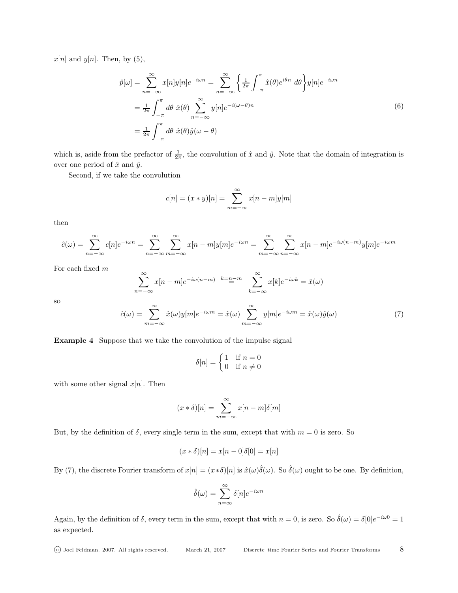$x[n]$  and  $y[n]$ . Then, by (5),

$$
\hat{p}[\omega] = \sum_{n=-\infty}^{\infty} x[n]y[n]e^{-i\omega n} = \sum_{n=-\infty}^{\infty} \left\{ \frac{1}{2\pi} \int_{-\pi}^{\pi} \hat{x}(\theta)e^{i\theta n} d\theta \right\} y[n]e^{-i\omega n}
$$

$$
= \frac{1}{2\pi} \int_{-\pi}^{\pi} d\theta \hat{x}(\theta) \sum_{n=-\infty}^{\infty} y[n]e^{-i(\omega-\theta)n}
$$
(6)
$$
= \frac{1}{2\pi} \int_{-\pi}^{\pi} d\theta \hat{x}(\theta)\hat{y}(\omega-\theta)
$$

which is, aside from the prefactor of  $\frac{1}{2\pi}$ , the convolution of  $\hat{x}$  and  $\hat{y}$ . Note that the domain of integration is over one period of  $\hat{x}$  and  $\hat{y}$ .

Second, if we take the convolution

$$
c[n] = (x * y)[n] = \sum_{m = -\infty}^{\infty} x[n - m]y[m]
$$

then

$$
\hat{c}(\omega) = \sum_{n=-\infty}^{\infty} c[n]e^{-i\omega n} = \sum_{n=-\infty}^{\infty} \sum_{m=-\infty}^{\infty} x[n-m]y[m]e^{-i\omega n} = \sum_{m=-\infty}^{\infty} \sum_{n=-\infty}^{\infty} x[n-m]e^{-i\omega(n-m)}y[m]e^{-i\omega m}
$$

For each fixed m

$$
\sum_{n=-\infty}^{\infty} x[n-m]e^{-i\omega(n-m)} \stackrel{k=n-m}{=} \sum_{k=-\infty}^{\infty} x[k]e^{-i\omega k} = \hat{x}(\omega)
$$

so

$$
\hat{c}(\omega) = \sum_{m=-\infty}^{\infty} \hat{x}(\omega)y[m]e^{-i\omega m} = \hat{x}(\omega) \sum_{m=-\infty}^{\infty} y[m]e^{-i\omega m} = \hat{x}(\omega)\hat{y}(\omega)
$$
\n(7)

Example 4 Suppose that we take the convolution of the impulse signal

$$
\delta[n] = \begin{cases} 1 & \text{if } n = 0 \\ 0 & \text{if } n \neq 0 \end{cases}
$$

with some other signal  $x[n]$ . Then

$$
(x * \delta)[n] = \sum_{m = -\infty}^{\infty} x[n - m]\delta[m]
$$

But, by the definition of  $\delta$ , every single term in the sum, except that with  $m = 0$  is zero. So

$$
(x * \delta)[n] = x[n-0]\delta[0] = x[n]
$$

By (7), the discrete Fourier transform of  $x[n] = (x * \delta)[n]$  is  $\hat{x}(\omega)\hat{\delta}(\omega)$ . So  $\hat{\delta}(\omega)$  ought to be one. By definition,

$$
\hat{\delta}(\omega) = \sum_{n=\infty}^{\infty} \delta[n] e^{-i\omega n}
$$

Again, by the definition of  $\delta$ , every term in the sum, except that with  $n = 0$ , is zero. So  $\hat{\delta}(\omega) = \delta[0]e^{-i\omega 0} = 1$ as expected.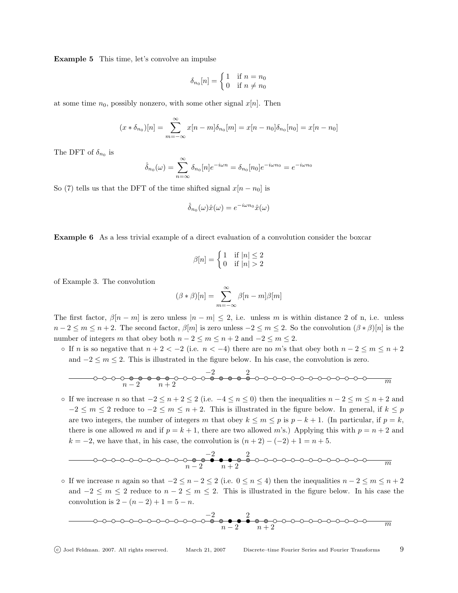Example 5 This time, let's convolve an impulse

$$
\delta_{n_0}[n] = \begin{cases} 1 & \text{if } n = n_0 \\ 0 & \text{if } n \neq n_0 \end{cases}
$$

at some time  $n_0$ , possibly nonzero, with some other signal  $x[n]$ . Then

$$
(x * \delta_{n_0})[n] = \sum_{m = -\infty}^{\infty} x[n - m]\delta_{n_0}[m] = x[n - n_0]\delta_{n_0}[n_0] = x[n - n_0]
$$

The DFT of  $\delta_{n_0}$  is

$$
\hat{\delta}_{n_0}(\omega) = \sum_{n=\infty}^{\infty} \delta_{n_0}[n]e^{-i\omega n} = \delta_{n_0}[n_0]e^{-i\omega n_0} = e^{-i\omega n_0}
$$

So (7) tells us that the DFT of the time shifted signal  $x[n - n_0]$  is

$$
\hat{\delta}_{n_0}(\omega)\hat{x}(\omega) = e^{-i\omega n_0}\hat{x}(\omega)
$$

Example 6 As a less trivial example of a direct evaluation of a convolution consider the boxcar

$$
\beta[n] = \begin{cases} 1 & \text{if } |n| \le 2 \\ 0 & \text{if } |n| > 2 \end{cases}
$$

of Example 3. The convolution

$$
(\beta * \beta)[n] = \sum_{m = -\infty}^{\infty} \beta[n - m]\beta[m]
$$

The first factor,  $\beta[n-m]$  is zero unless  $|n-m| \leq 2$ , i.e. unless m is within distance 2 of n, i.e. unless  $n-2 \leq m \leq n+2$ . The second factor,  $\beta[m]$  is zero unless  $-2 \leq m \leq 2$ . So the convolution  $(\beta * \beta)[n]$  is the number of integers m that obey both  $n-2 \le m \le n+2$  and  $-2 \le m \le 2$ .

∘ If *n* is so negative that  $n + 2 < -2$  (i.e.  $n < -4$ ) there are no *m*'s that obey both  $n - 2 \le m \le n + 2$ and  $-2 \le m \le 2$ . This is illustrated in the figure below. In his case, the convolution is zero.

−2 2 <sup>n</sup> <sup>−</sup> <sup>2</sup> <sup>n</sup> + 2 <sup>m</sup>

∘ If we increase *n* so that  $-2 \le n + 2 \le 2$  (i.e.  $-4 \le n \le 0$ ) then the inequalities  $n-2 \le m \le n+2$  and  $-2 \le m \le 2$  reduce to  $-2 \le m \le n+2$ . This is illustrated in the figure below. In general, if  $k \le p$ are two integers, the number of integers m that obey  $k \le m \le p$  is  $p - k + 1$ . (In particular, if  $p = k$ , there is one allowed m and if  $p = k + 1$ , there are two allowed m's.) Applying this with  $p = n + 2$  and  $k = -2$ , we have that, in his case, the convolution is  $(n + 2) - (-2) + 1 = n + 5$ .

−2 2 <sup>n</sup> <sup>−</sup> <sup>2</sup> <sup>n</sup> + 2 <sup>m</sup>

∘ If we increase *n* again so that  $-2 \le n-2 \le 2$  (i.e.  $0 \le n \le 4$ ) then the inequalities  $n-2 \le m \le n+2$ and  $-2 \le m \le 2$  reduce to  $n-2 \le m \le 2$ . This is illustrated in the figure below. In his case the convolution is  $2 - (n - 2) + 1 = 5 - n$ .

−2 2 <sup>n</sup> <sup>−</sup> <sup>2</sup> <sup>n</sup> + 2 <sup>m</sup>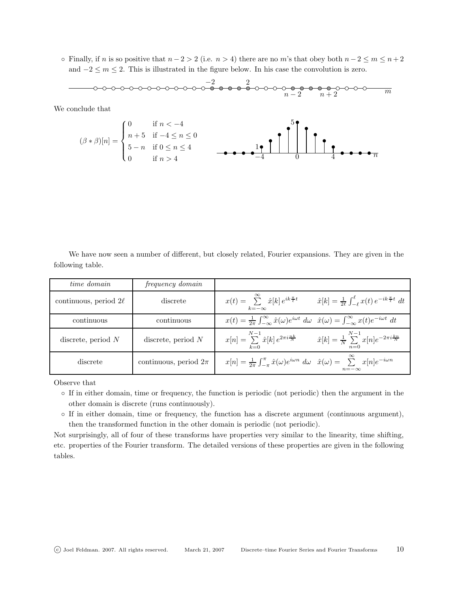• Finally, if n is so positive that  $n-2 > 2$  (i.e.  $n > 4$ ) there are no m's that obey both  $n-2 \le m \le n+2$ and  $-2 \le m \le 2$ . This is illustrated in the figure below. In his case the convolution is zero.



We have now seen a number of different, but closely related, Fourier expansions. They are given in the following table.

| time domain                | frequency domain          |                                                                                                                                                        |                                                                                       |
|----------------------------|---------------------------|--------------------------------------------------------------------------------------------------------------------------------------------------------|---------------------------------------------------------------------------------------|
| continuous, period $2\ell$ | discrete                  | $x(t) = \sum_{k=0}^{\infty} \hat{x}[k] e^{ik \frac{\pi}{\ell} t}$<br>$k=-\infty$                                                                       | $\hat{x}[k] = \frac{1}{2\ell} \int_{-\ell}^{\ell} x(t) e^{-ik \frac{\pi}{\ell} t} dt$ |
| continuous                 | continuous                | $x(t) = \frac{1}{2\pi} \int_{-\infty}^{\infty} \hat{x}(\omega) e^{i\omega t} d\omega \hat{x}(\omega) = \int_{-\infty}^{\infty} x(t) e^{-i\omega t} dt$ |                                                                                       |
| discrete, period $N$       | discrete, period $N$      | $x[n] = \sum_{k=1}^{N-1} \hat{x}[k] e^{2\pi i \frac{nk}{N}}$<br>$k=0$                                                                                  | $\hat{x}[k] = \frac{1}{N} \sum_{n=1}^{N-1} x[n] e^{-2\pi i \frac{kn}{N}}$<br>$n=0$    |
| discrete                   | continuous, period $2\pi$ | $x[n] = \frac{1}{2\pi} \int_{-\pi}^{\pi} \hat{x}(\omega) e^{i\omega n} d\omega \quad \hat{x}(\omega) = \sum_{n=1}^{\infty} x[n] e^{-i\omega n}$        | $n=-\infty$                                                                           |

Observe that

◦ If in either domain, time or frequency, the function is periodic (not periodic) then the argument in the other domain is discrete (runs continuously).

◦ If in either domain, time or frequency, the function has a discrete argument (continuous argument), then the transformed function in the other domain is periodic (not periodic).

Not surprisingly, all of four of these transforms have properties very similar to the linearity, time shifting, etc. properties of the Fourier transform. The detailed versions of these properties are given in the following tables.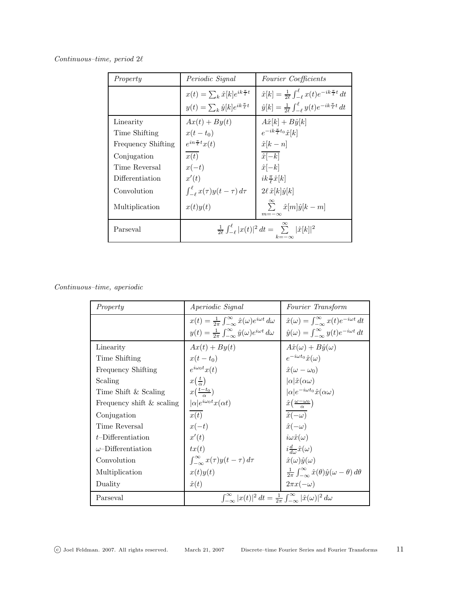| Continuous-time, period $2\ell$ |  |
|---------------------------------|--|
|---------------------------------|--|

| Property                  | Periodic Signal                                                                        | Fourier Coefficients                                                                  |
|---------------------------|----------------------------------------------------------------------------------------|---------------------------------------------------------------------------------------|
|                           | $x(t) = \sum_k \hat{x}[k]e^{ik\frac{\pi}{\ell}t}$                                      | $\hat{x}[k] = \frac{1}{2\ell} \int_{-\ell}^{\ell} x(t) e^{-ik \frac{\pi}{\ell} t} dt$ |
|                           | $y(t) = \sum_k \hat{y}[k]e^{ik\frac{\pi}{\ell}t}$                                      | $\hat{y}[k] = \frac{1}{2\ell} \int_{-\ell}^{\ell} y(t) e^{-ik \frac{\pi}{\ell} t} dt$ |
| Linearity                 | $Ax(t) + By(t)$                                                                        | $A\hat{x}[k]+B\hat{y}[k]$                                                             |
| Time Shifting             | $x(t-t_0)$                                                                             | $e^{-ik\frac{\pi}{\ell}t_0}\hat{x}[k]$                                                |
| <b>Frequency Shifting</b> | $e^{in\frac{\pi}{\ell}t}x(t)$                                                          | $\hat{x}[k-n]$                                                                        |
| Conjugation               | x(t)                                                                                   | $\hat{x}[-k]$                                                                         |
| Time Reversal             | $x(-t)$                                                                                | $\hat{x}[-k]$                                                                         |
| Differentiation           | x'(t)                                                                                  | $ik\frac{\pi}{\ell}\hat{x}[k]$                                                        |
| Convolution               | $\int_{-\ell}^{\ell} x(\tau)y(t-\tau) d\tau$                                           | $2\ell\,\hat{x}[k]\hat{y}[k]$                                                         |
| Multiplication            | x(t)y(t)                                                                               | $\sum_{i=1}^{\infty} \hat{x}[m]\hat{y}[k-m]$<br>$m=-\infty$                           |
| Parseval                  | $\frac{1}{2\ell} \int_{-\ell}^{\ell}  x(t) ^2 dt = \sum_{k=0}^{\infty}  \hat{x}[k] ^2$ |                                                                                       |

Continuous–time, aperiodic

| Property                  | <i>Aperiodic Signal</i>                                                                                    | Fourier Transform                                                                    |  |
|---------------------------|------------------------------------------------------------------------------------------------------------|--------------------------------------------------------------------------------------|--|
|                           | $x(t) = \frac{1}{2\pi} \int_{-\infty}^{\infty} \hat{x}(\omega) e^{i\omega t} d\omega$                      | $\hat{x}(\omega) = \int_{-\infty}^{\infty} x(t) e^{-i\omega t} dt$                   |  |
|                           | $y(t) = \frac{1}{2\pi} \int_{-\infty}^{\infty} \hat{y}(\omega) e^{i\omega t} d\omega$                      | $\hat{y}(\omega) = \int_{-\infty}^{\infty} y(t) e^{-i\omega t} dt$                   |  |
| Linearity                 | $Ax(t) + By(t)$                                                                                            | $A\hat{x}(\omega) + B\hat{y}(\omega)$                                                |  |
| Time Shifting             | $x(t-t_0)$                                                                                                 | $e^{-i\omega t_0}\hat{x}(\omega)$                                                    |  |
| Frequency Shifting        | $e^{i\omega_0 t}x(t)$                                                                                      | $\hat{x}(\omega - \omega_0)$                                                         |  |
| Scaling                   | $x(\frac{t}{a})$                                                                                           | $ \alpha  \hat{x} (\alpha \omega)$                                                   |  |
| Time Shift & Scaling      | $x(\frac{t-t_0}{a})$                                                                                       | $ \alpha e^{-i\omega t_0}\hat{x}(\alpha\omega)$                                      |  |
| Frequency shift & scaling | $ \alpha e^{i\omega_0 t}x(\alpha t)$                                                                       | $\hat{x}(\frac{\omega-\omega_0}{\omega})$                                            |  |
| Conjugation               | x(t)                                                                                                       | $\hat{x}(-\omega)$                                                                   |  |
| Time Reversal             | $x(-t)$                                                                                                    | $\hat{x}(-\omega)$                                                                   |  |
| $t$ -Differentiation      | x'(t)                                                                                                      | $i\omega \hat{x}(\omega)$                                                            |  |
| $\omega$ -Differentiation | tx(t)                                                                                                      | $i\frac{d}{d\omega}\hat{x}(\omega)$                                                  |  |
| Convolution               | $\int_{-\infty}^{\infty} x(\tau)y(t-\tau) d\tau$                                                           | $\hat{x}(\omega)\hat{y}(\omega)$                                                     |  |
| Multiplication            | x(t)y(t)                                                                                                   | $\frac{1}{2\pi}\int_{-\infty}^{\infty}\hat{x}(\theta)\hat{y}(\omega-\theta) d\theta$ |  |
| Duality                   | $\hat{x}(t)$                                                                                               | $2\pi x(-\omega)$                                                                    |  |
| Parseval                  | $\int_{-\infty}^{\infty}  x(t) ^2 dt = \frac{1}{2\pi} \int_{-\infty}^{\infty}  \hat{x}(\omega) ^2 d\omega$ |                                                                                      |  |